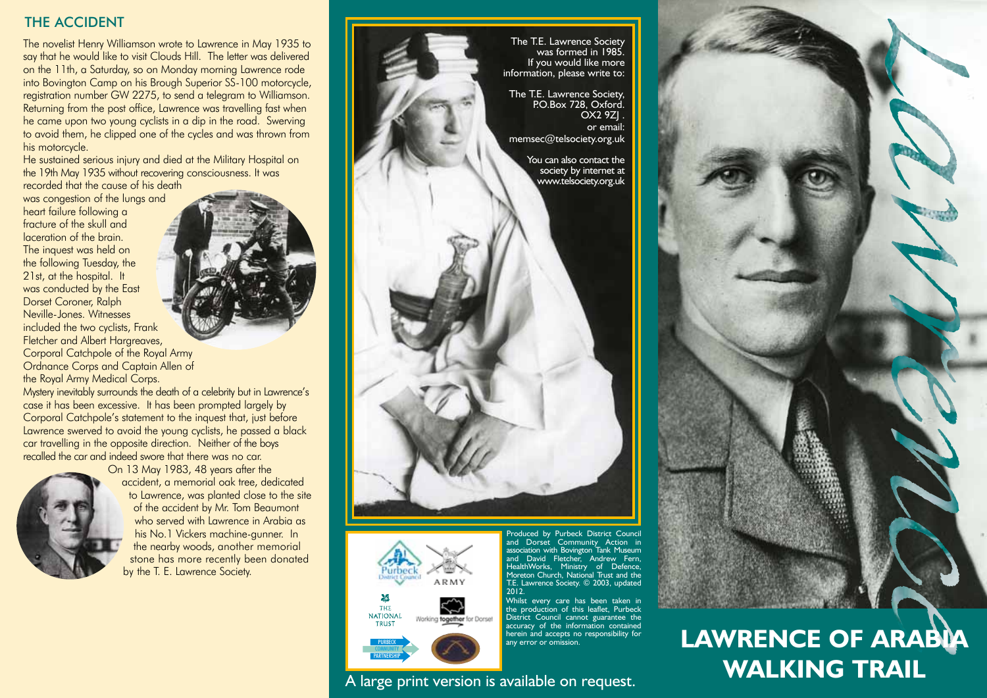## THE ACCIDENT

The novelist Henry Williamson wrote to Lawrence in May 1935 to say that he would like to visit Clouds Hill. The letter was delivered on the 11th, a Saturday, so on Monday morning Lawrence rode into Bovington Camp on his Brough Superior SS-100 motorcycle, registration number GW 2275, to send a telegram to Williamson. Returning from the post office, Lawrence was travelling fast when he came upon two young cyclists in a dip in the road. Swerving to avoid them, he clipped one of the cycles and was thrown from his motorcycle.

He sustained serious injury and died at the Military Hospital on the 19th May 1935 without recovering consciousness. It was

recorded that the cause of his death was congestion of the lungs and heart failure following a fracture of the skull and laceration of the brain. The inquest was held on the following Tuesday, the 21st, at the hospital. It was conducted by the East Dorset Coroner, Ralph Neville-Jones. Witnesses included the two cyclists, Frank Fletcher and Albert Hargreaves, Corporal Catchpole of the Royal Army Ordnance Corps and Captain Allen of the Royal Army Medical Corps.

Mystery inevitably surrounds the death of a celebrity but in Lawrence's case it has been excessive. It has been prompted largely by Corporal Catchpole's statement to the inquest that, just before Lawrence swerved to avoid the young cyclists, he passed a black car travelling in the opposite direction. Neither of the boys recalled the car and indeed swore that there was no car.



On 13 May 1983, 48 years after the accident, a memorial oak tree, dedicated to Lawrence, was planted close to the site of the accident by Mr. Tom Beaumont who served with Lawrence in Arabia as his No.1 Vickers machine-gunner. In the nearby woods, another memorial stone has more recently been donated by the T. E. Lawrence Society.



A large print version is available on request.



PURBECK **COMMUNITY** PARTNERSHIP Produced by Purbeck District Council and Dorset Community Action in association with Bovington Tank Museum and David Fletcher, Andrew Fern, HealthWorks, Ministry of Defence, Moreton Church, National Trust and the T.E. Lawrence Society. © 2003, updated 2012.

Whilst every care has been taken in the production of this leaflet, Purbeck District Council cannot guarantee the accuracy of the information contained herein and accepts no responsibility for any error or omission.

# **Lawrence of Arabia Walking Trail**

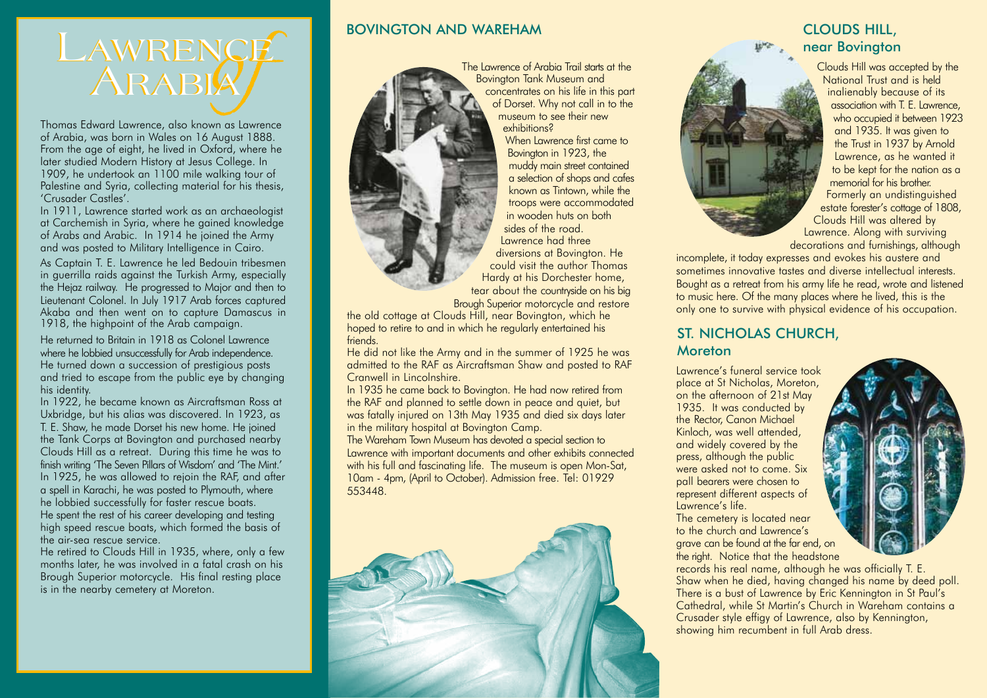

Thomas Edward Lawrence, also known as Lawrence of Arabia, was born in Wales on 16 August 1888. From the age of eight, he lived in Oxford, where he later studied Modern History at Jesus College. In 1909, he undertook an 1100 mile walking tour of Palestine and Syria, collecting material for his thesis, 'Crusader Castles'.

In 1911, Lawrence started work as an archaeologist at Carchemish in Syria, where he gained knowledge of Arabs and Arabic. In 1914 he joined the Army and was posted to Military Intelligence in Cairo.

As Captain T. E. Lawrence he led Bedouin tribesmen in guerrilla raids against the Turkish Army, especially the Hejaz railway. He progressed to Major and then to Lieutenant Colonel. In July 1917 Arab forces captured Akaba and then went on to capture Damascus in 1918, the highpoint of the Arab campaign.

He returned to Britain in 1918 as Colonel Lawrence where he lobbied unsuccessfully for Arab independence. He turned down a succession of prestigious posts and tried to escape from the public eye by changing his identity.

In 1922, he became known as Aircraftsman Ross at Uxbridge, but his alias was discovered. In 1923, as T. E. Shaw, he made Dorset his new home. He joined the Tank Corps at Bovington and purchased nearby Clouds Hill as a retreat. During this time he was to finish writing 'The Seven Pillars of Wisdom' and 'The Mint.' In 1925, he was allowed to rejoin the RAF, and after a spell in Karachi, he was posted to Plymouth, where he lobbied successfully for faster rescue boats. He spent the rest of his career developing and testing high speed rescue boats, which formed the basis of the air-sea rescue service.

He retired to Clouds Hill in 1935, where, only a few months later, he was involved in a fatal crash on his Brough Superior motorcycle. His final resting place is in the nearby cemetery at Moreton.

### BOVINGTON AND WAREHAM



The Lawrence of Arabia Trail starts at the Bovington Tank Museum and concentrates on his life in this part of Dorset. Why not call in to the museum to see their new exhibitions?

When Lawrence first came to Bovington in 1923, the muddy main street contained a selection of shops and cafes known as Tintown, while the troops were accommodated in wooden huts on both sides of the road. Lawrence had three

diversions at Bovington. He could visit the author Thomas Hardy at his Dorchester home, tear about the countryside on his big

Brough Superior motorcycle and restore

the old cottage at Clouds Hill, near Bovington, which he hoped to retire to and in which he regularly entertained his friends.

He did not like the Army and in the summer of 1925 he was admitted to the RAF as Aircraftsman Shaw and posted to RAF Cranwell in Lincolnshire.

In 1935 he came back to Bovington. He had now retired from the RAF and planned to settle down in peace and quiet, but was fatally injured on 13th May 1935 and died six days later in the military hospital at Bovington Camp.

The Wareham Town Museum has devoted a special section to Lawrence with important documents and other exhibits connected with his full and fascinating life. The museum is open Mon-Sat, 10am - 4pm, (April to October). Admission free. Tel: 01929 553448.



## CLOUDS HILL, near Bovington



Clouds Hill was accepted by the National Trust and is held inalienably because of its association with T. E. Lawrence, who occupied it between 1923 and 1935. It was given to the Trust in 1937 by Arnold Lawrence, as he wanted it to be kept for the nation as a memorial for his brother. Formerly an undistinguished estate forester's cottage of 1808, Clouds Hill was altered by Lawrence. Along with surviving decorations and furnishings, although

incomplete, it today expresses and evokes his austere and sometimes innovative tastes and diverse intellectual interests. Bought as a retreat from his army life he read, wrote and listened to music here. Of the many places where he lived, this is the only one to survive with physical evidence of his occupation.

## ST. NICHOLAS CHURCH, Moreton

Lawrence's funeral service took place at St Nicholas, Moreton, on the afternoon of 21st May 1935. It was conducted by the Rector, Canon Michael Kinloch, was well attended, and widely covered by the press, although the public were asked not to come. Six pall bearers were chosen to represent different aspects of Lawrence's life.

The cemetery is located near to the church and Lawrence's grave can be found at the far end, on the right. Notice that the headstone



records his real name, although he was officially T. E. Shaw when he died, having changed his name by deed poll. There is a bust of Lawrence by Eric Kennington in St Paul's Cathedral, while St Martin's Church in Wareham contains a Crusader style effigy of Lawrence, also by Kennington, showing him recumbent in full Arab dress.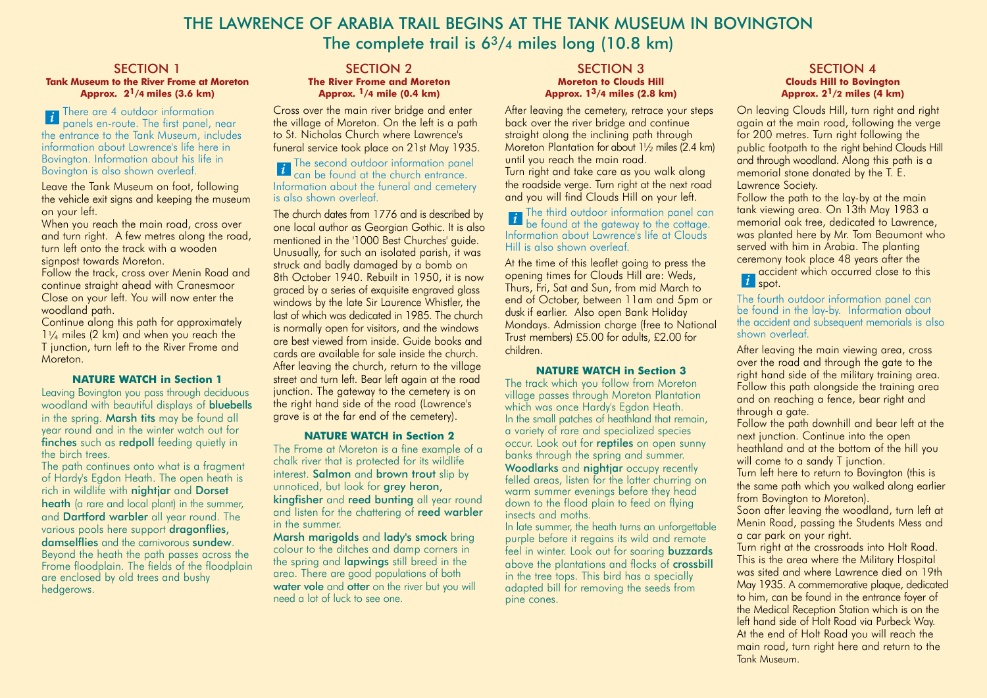## THE LAWRENCE OF ARABIA TRAIL BEGINS AT THE TANK MUSEUM IN BOVINGTON The complete trail is  $6<sup>3</sup>/4$  miles long (10.8 km)

#### SECTION 1 **Tank Museum to the River Frome at Moreton Approx. 21/4 miles (3.6 km)**

There are 4 outdoor information panels en-route. The first panel, near the entrance to the Tank Museum, includes information about Lawrence's life here in Bovington. Information about his life in Bovington is also shown overleaf. *i*

Leave the Tank Museum on foot, following the vehicle exit signs and keeping the museum on your left.

When you reach the main road, cross over and turn right. A few metres along the road, turn left onto the track with a wooden signpost towards Moreton.

Follow the track, cross over Menin Road and continue straight ahead with Cranesmoor Close on your left. You will now enter the woodland path.

Continue along this path for approximately  $1\frac{1}{4}$  miles (2 km) and when you reach the T junction, turn left to the River Frome and **Moreton** 

#### **NATURE WATCH in Section 1**

Leaving Bovington you pass through deciduous woodland with beautiful displays of **bluebells** in the spring. Marsh tits may be found all year round and in the winter watch out for finches such as redpoll feeding quietly in the birch trees.

The path continues onto what is a fragment of Hardy's Egdon Heath. The open heath is rich in wildlife with nightiar and Dorset heath (a rare and local plant) in the summer, and **Dartford warbler** all year round. The various pools here support **dragonflies**, damselflies and the carnivorous sundew. Beyond the heath the path passes across the Frome floodplain. The fields of the floodplain are enclosed by old trees and bushy hedgerows.

#### SECTION 2 **The River Frome and Moreton Approx. 1/4 mile (0.4 km)**

Cross over the main river bridge and enter the village of Moreton. On the left is a path to St. Nicholas Church where Lawrence's funeral service took place on 21st May 1935.

#### The second outdoor information panel *i* can be found at the church entrance. Information about the funeral and cemetery is also shown overleaf.

The church dates from 1776 and is described by one local author as Georgian Gothic. It is also mentioned in the '1000 Best Churches' guide. Unusually, for such an isolated parish, it was struck and badly damaged by a bomb on 8th October 1940. Rebuilt in 1950, it is now graced by a series of exquisite engraved glass windows by the late Sir Laurence Whistler, the last of which was dedicated in 1985. The church is normally open for visitors, and the windows are best viewed from inside. Guide books and cards are available for sale inside the church. After leaving the church, return to the village street and turn left. Bear left again at the road junction. The gateway to the cemetery is on the right hand side of the road (Lawrence's grave is at the far end of the cemetery).

#### **NATURE WATCH in Section 2**

The Frome at Moreton is a fine example of a chalk river that is protected for its wildlife interest. Salmon and brown trout slip by unnoticed, but look for **arey heron**, kingfisher and reed bunting all year round and listen for the chattering of reed warbler in the summer.

Marsh marigolds and lady's smock bring colour to the ditches and damp corners in the spring and **lapwings** still breed in the area. There are good populations of both water vole and otter on the river but you will need a lot of luck to see one.

#### SECTION 3 **Moreton to Clouds Hill Approx. 13/4 miles (2.8 km)**

After leaving the cemetery, retrace your steps back over the river bridge and continue straight along the inclining path through Moreton Plantation for about  $1\frac{1}{2}$  miles (2.4 km) until you reach the main road. Turn right and take care as you walk along the roadside verge. Turn right at the next road and you will find Clouds Hill on your left.

The third outdoor information panel can *i* be found at the gateway to the cottage. Information about Lawrence's life at Clouds Hill is also shown overleaf.

At the time of this leaflet going to press the opening times for Clouds Hill are: Weds, Thurs, Fri, Sat and Sun, from mid March to end of October, between 11am and 5pm or dusk if earlier. Also open Bank Holiday Mondays. Admission charge (free to National Trust members) £5.00 for adults, £2.00 for children.

#### **NATURE WATCH in Section 3**

The track which you follow from Moreton village passes through Moreton Plantation which was once Hardy's Egdon Heath. In the small patches of heathland that remain, a variety of rare and specialized species occur. Look out for reptiles on open sunny banks through the spring and summer. Woodlarks and nightjar occupy recently felled areas, listen for the latter churring on warm summer evenings before they head down to the flood plain to feed on flying insects and moths.

In late summer, the heath turns an unforgettable purple before it regains its wild and remote feel in winter. Look out for soaring buzzards above the plantations and flocks of crossbill in the tree tops. This bird has a specially adapted bill for removing the seeds from pine cones.

#### SECTION 4 **Clouds Hill to Bovington Approx. 21/2 miles (4 km)**

On leaving Clouds Hill, turn right and right again at the main road, following the verge for 200 metres. Turn right following the public footpath to the right behind Clouds Hill and through woodland. Along this path is a memorial stone donated by the T. E. Lawrence Society.

Follow the path to the lay-by at the main tank viewing area. On 13th May 1983 a memorial oak tree, dedicated to Lawrence, was planted here by Mr. Tom Beaumont who served with him in Arabia. The planting ceremony took place 48 years after the

accident which occurred close to this spot. *i*

The fourth outdoor information panel can be found in the lay-by. Information about the accident and subsequent memorials is also shown overleaf.

After leaving the main viewing area, cross over the road and through the gate to the right hand side of the military training area. Follow this path alongside the training area and on reaching a fence, bear right and through a gate.

Follow the path downhill and bear left at the next junction. Continue into the open heathland and at the bottom of the hill you will come to a sandy T junction.

Turn left here to return to Bovington (this is the same path which you walked along earlier from Bovington to Moreton).

Soon after leaving the woodland, turn left at Menin Road, passing the Students Mess and a car park on your right.

Turn right at the crossroads into Holt Road. This is the area where the Military Hospital was sited and where Lawrence died on 19th May 1935. A commemorative plaque, dedicated to him, can be found in the entrance foyer of the Medical Reception Station which is on the left hand side of Holt Road via Purbeck Way. At the end of Holt Road you will reach the main road, turn right here and return to the Tank Museum.